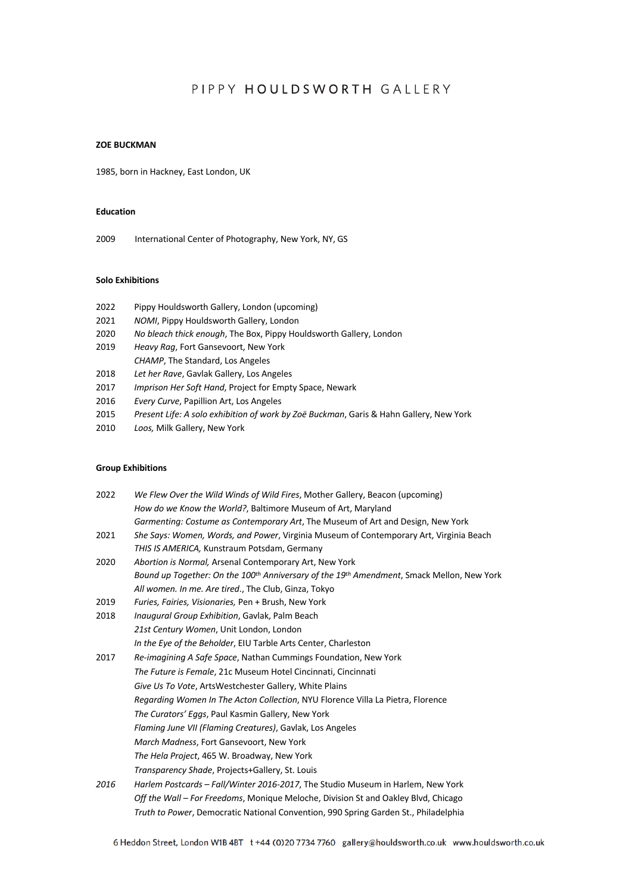# PIPPY HOULDSWORTH GALLERY

#### **ZOE BUCKMAN**

1985, born in Hackney, East London, UK

### **Education**

2009 International Center of Photography, New York, NY, GS

#### **Solo Exhibitions**

| 2022 | Pippy Houldsworth Gallery, London (upcoming) |  |  |
|------|----------------------------------------------|--|--|
|------|----------------------------------------------|--|--|

- 2021 *NOMI*, Pippy Houldsworth Gallery, London
- 2020 *No bleach thick enough*, The Box, Pippy Houldsworth Gallery, London
- 2019 *Heavy Rag*, Fort Gansevoort, New York
- *CHAMP*, The Standard, Los Angeles
- 2018 *Let her Rave*, Gavlak Gallery, Los Angeles
- 2017 *Imprison Her Soft Hand*, Project for Empty Space, Newark
- 2016 *Every Curve*, Papillion Art, Los Angeles
- 2015 *Present Life: A solo exhibition of work by Zoë Buckman*, Garis & Hahn Gallery, New York
- 2010 *Loos,* Milk Gallery, New York

#### **Group Exhibitions**

| 2022 | We Flew Over the Wild Winds of Wild Fires, Mother Gallery, Beacon (upcoming)                                      |
|------|-------------------------------------------------------------------------------------------------------------------|
|      | How do we Know the World?, Baltimore Museum of Art, Maryland                                                      |
|      | Garmenting: Costume as Contemporary Art, The Museum of Art and Design, New York                                   |
| 2021 | She Says: Women, Words, and Power, Virginia Museum of Contemporary Art, Virginia Beach                            |
|      | THIS IS AMERICA, Kunstraum Potsdam, Germany                                                                       |
| 2020 | Abortion is Normal, Arsenal Contemporary Art, New York                                                            |
|      | Bound up Together: On the 100 <sup>th</sup> Anniversary of the 19 <sup>th</sup> Amendment, Smack Mellon, New York |
|      | All women. In me. Are tired., The Club, Ginza, Tokyo                                                              |
| 2019 | Furies, Fairies, Visionaries, Pen + Brush, New York                                                               |
| 2018 | Inaugural Group Exhibition, Gavlak, Palm Beach                                                                    |
|      | 21st Century Women, Unit London, London                                                                           |
|      | In the Eye of the Beholder, EIU Tarble Arts Center, Charleston                                                    |
| 2017 | Re-imagining A Safe Space, Nathan Cummings Foundation, New York                                                   |
|      | The Future is Female, 21c Museum Hotel Cincinnati, Cincinnati                                                     |
|      | Give Us To Vote, ArtsWestchester Gallery, White Plains                                                            |
|      | Regarding Women In The Acton Collection, NYU Florence Villa La Pietra, Florence                                   |
|      | The Curators' Eggs, Paul Kasmin Gallery, New York                                                                 |
|      | Flaming June VII (Flaming Creatures), Gavlak, Los Angeles                                                         |
|      | March Madness, Fort Gansevoort, New York                                                                          |
|      | The Hela Project, 465 W. Broadway, New York                                                                       |
|      | Transparency Shade, Projects+Gallery, St. Louis                                                                   |
| 2016 | Harlem Postcards - Fall/Winter 2016-2017, The Studio Museum in Harlem, New York                                   |
|      | Off the Wall - For Freedoms, Monique Meloche, Division St and Oakley Blvd, Chicago                                |
|      | Truth to Power, Democratic National Convention, 990 Spring Garden St., Philadelphia                               |
|      |                                                                                                                   |